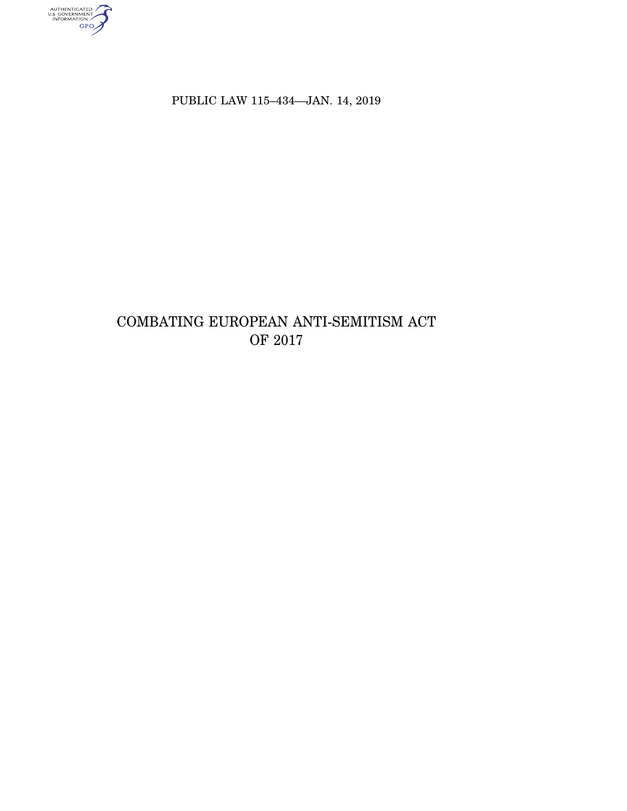authenticated<br>u.s. government<br>information<br>GPO

PUBLIC LAW 115-434-JAN. 14, 2019

# COMBATING EUROPEAN ANTI-SEMITISM ACT OF 2017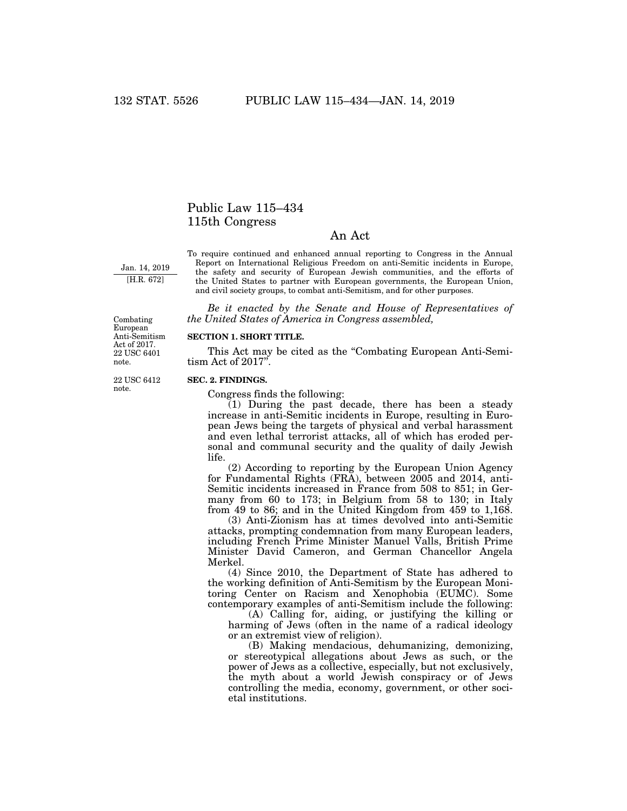## Public Law 115–434 115th Congress

### An Act

Jan. 14, 2019 [H.R. 672]

To require continued and enhanced annual reporting to Congress in the Annual Report on International Religious Freedom on anti-Semitic incidents in Europe, the safety and security of European Jewish communities, and the efforts of the United States to partner with European governments, the European Union, and civil society groups, to combat anti-Semitism, and for other purposes.

*Be it enacted by the Senate and House of Representatives of the United States of America in Congress assembled,* 

**SECTION 1. SHORT TITLE.** 

This Act may be cited as the "Combating European Anti-Semitism Act of 2017''.

#### **SEC. 2. FINDINGS.**

Congress finds the following:

(1) During the past decade, there has been a steady increase in anti-Semitic incidents in Europe, resulting in European Jews being the targets of physical and verbal harassment and even lethal terrorist attacks, all of which has eroded personal and communal security and the quality of daily Jewish life.

(2) According to reporting by the European Union Agency for Fundamental Rights (FRA), between 2005 and 2014, anti-Semitic incidents increased in France from 508 to 851; in Germany from 60 to 173; in Belgium from 58 to 130; in Italy from 49 to 86; and in the United Kingdom from 459 to 1,168.

(3) Anti-Zionism has at times devolved into anti-Semitic attacks, prompting condemnation from many European leaders, including French Prime Minister Manuel Valls, British Prime Minister David Cameron, and German Chancellor Angela Merkel.

(4) Since 2010, the Department of State has adhered to the working definition of Anti-Semitism by the European Monitoring Center on Racism and Xenophobia (EUMC). Some contemporary examples of anti-Semitism include the following:

(A) Calling for, aiding, or justifying the killing or harming of Jews (often in the name of a radical ideology or an extremist view of religion).

(B) Making mendacious, dehumanizing, demonizing, or stereotypical allegations about Jews as such, or the power of Jews as a collective, especially, but not exclusively, the myth about a world Jewish conspiracy or of Jews controlling the media, economy, government, or other societal institutions.

Act of 2017. 22 USC 6401 note.

Combating European Anti-Semitism

22 USC 6412 note.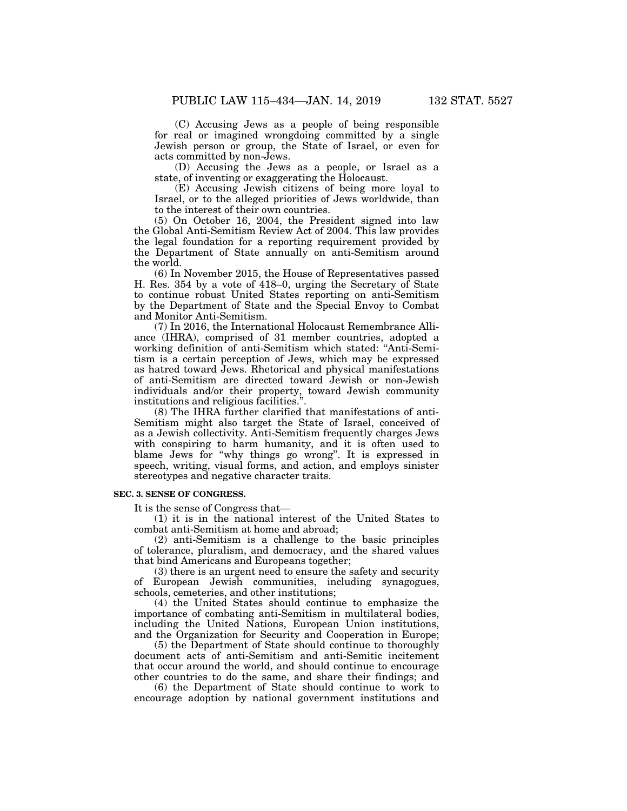(C) Accusing Jews as a people of being responsible for real or imagined wrongdoing committed by a single Jewish person or group, the State of Israel, or even for acts committed by non-Jews.

(D) Accusing the Jews as a people, or Israel as a state, of inventing or exaggerating the Holocaust.

(E) Accusing Jewish citizens of being more loyal to Israel, or to the alleged priorities of Jews worldwide, than to the interest of their own countries.

(5) On October 16, 2004, the President signed into law the Global Anti-Semitism Review Act of 2004. This law provides the legal foundation for a reporting requirement provided by the Department of State annually on anti-Semitism around the world.

(6) In November 2015, the House of Representatives passed H. Res. 354 by a vote of 418–0, urging the Secretary of State to continue robust United States reporting on anti-Semitism by the Department of State and the Special Envoy to Combat and Monitor Anti-Semitism.

(7) In 2016, the International Holocaust Remembrance Alliance (IHRA), comprised of 31 member countries, adopted a working definition of anti-Semitism which stated: ''Anti-Semitism is a certain perception of Jews, which may be expressed as hatred toward Jews. Rhetorical and physical manifestations of anti-Semitism are directed toward Jewish or non-Jewish individuals and/or their property, toward Jewish community institutions and religious facilities.''.

(8) The IHRA further clarified that manifestations of anti-Semitism might also target the State of Israel, conceived of as a Jewish collectivity. Anti-Semitism frequently charges Jews with conspiring to harm humanity, and it is often used to blame Jews for ''why things go wrong''. It is expressed in speech, writing, visual forms, and action, and employs sinister stereotypes and negative character traits.

#### **SEC. 3. SENSE OF CONGRESS.**

It is the sense of Congress that—

(1) it is in the national interest of the United States to combat anti-Semitism at home and abroad;

(2) anti-Semitism is a challenge to the basic principles of tolerance, pluralism, and democracy, and the shared values that bind Americans and Europeans together;

(3) there is an urgent need to ensure the safety and security of European Jewish communities, including synagogues, schools, cemeteries, and other institutions;

(4) the United States should continue to emphasize the importance of combating anti-Semitism in multilateral bodies, including the United Nations, European Union institutions, and the Organization for Security and Cooperation in Europe;

(5) the Department of State should continue to thoroughly document acts of anti-Semitism and anti-Semitic incitement that occur around the world, and should continue to encourage other countries to do the same, and share their findings; and

(6) the Department of State should continue to work to encourage adoption by national government institutions and